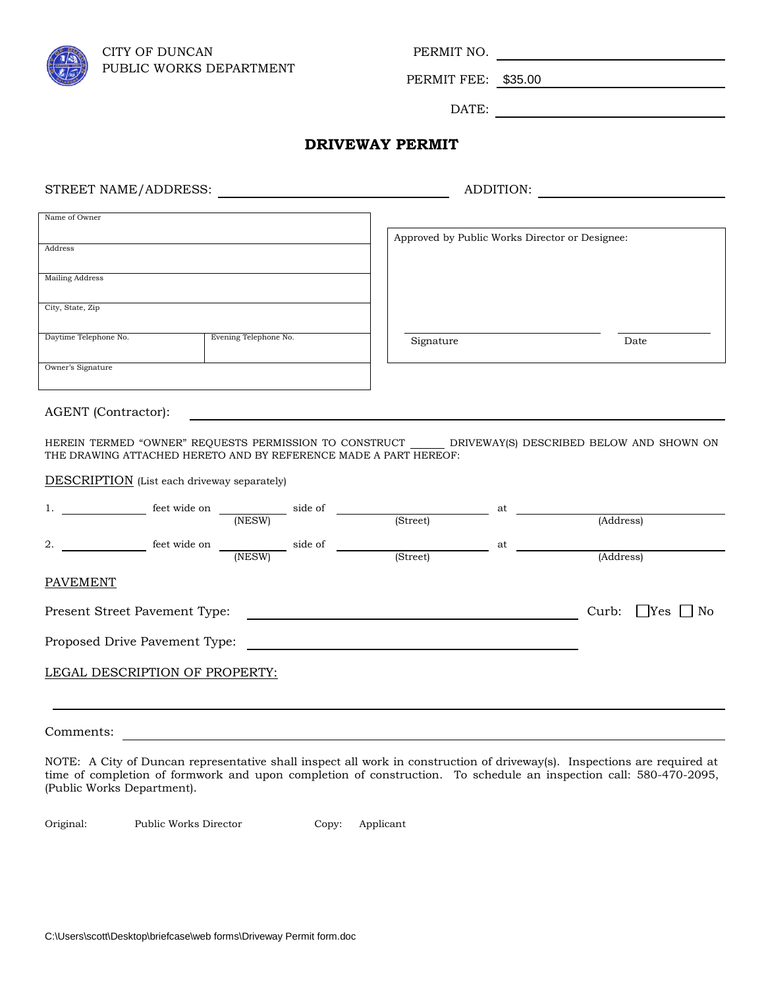

PERMIT FEE: \$35.00

DATE:

## **DRIVEWAY PERMIT**

STREET NAME/ADDRESS: ADDITION:

| Name of Owner          |                       |                                                |      |  |
|------------------------|-----------------------|------------------------------------------------|------|--|
|                        |                       | Approved by Public Works Director or Designee: |      |  |
| Address                |                       |                                                |      |  |
|                        |                       |                                                |      |  |
| <b>Mailing Address</b> |                       |                                                |      |  |
|                        |                       |                                                |      |  |
| City, State, Zip       |                       |                                                |      |  |
|                        |                       |                                                |      |  |
| Daytime Telephone No.  | Evening Telephone No. | Signature                                      | Date |  |
|                        |                       |                                                |      |  |
| Owner's Signature      |                       |                                                |      |  |
|                        |                       |                                                |      |  |

AGENT (Contractor):

HEREIN TERMED "OWNER" REQUESTS PERMISSION TO CONSTRUCT \_\_\_\_\_\_ DRIVEWAY(S) DESCRIBED BELOW AND SHOWN ON THE DRAWING ATTACHED HERETO AND BY REFERENCE MADE A PART HEREOF:

DESCRIPTION (List each driveway separately)

| 1.                            | feet wide on                     | side of |          | at |           |
|-------------------------------|----------------------------------|---------|----------|----|-----------|
|                               |                                  | (NESW)  | (Street) |    | (Address) |
| 2.                            | feet wide on                     | side of |          | at |           |
|                               |                                  | (NESW)  | (Street) |    | (Address) |
| <b>PAVEMENT</b>               |                                  |         |          |    |           |
| Present Street Pavement Type: | $\exists$ Yes $\Box$ No<br>Curb: |         |          |    |           |
|                               | Proposed Drive Pavement Type:    |         |          |    |           |
|                               | LEGAL DESCRIPTION OF PROPERTY:   |         |          |    |           |
|                               |                                  |         |          |    |           |
| Comments:                     |                                  |         |          |    |           |

NOTE: A City of Duncan representative shall inspect all work in construction of driveway(s). Inspections are required at time of completion of formwork and upon completion of construction. To schedule an inspection call: 580-470-2095, (Public Works Department).

Original: Public Works Director Copy: Applicant